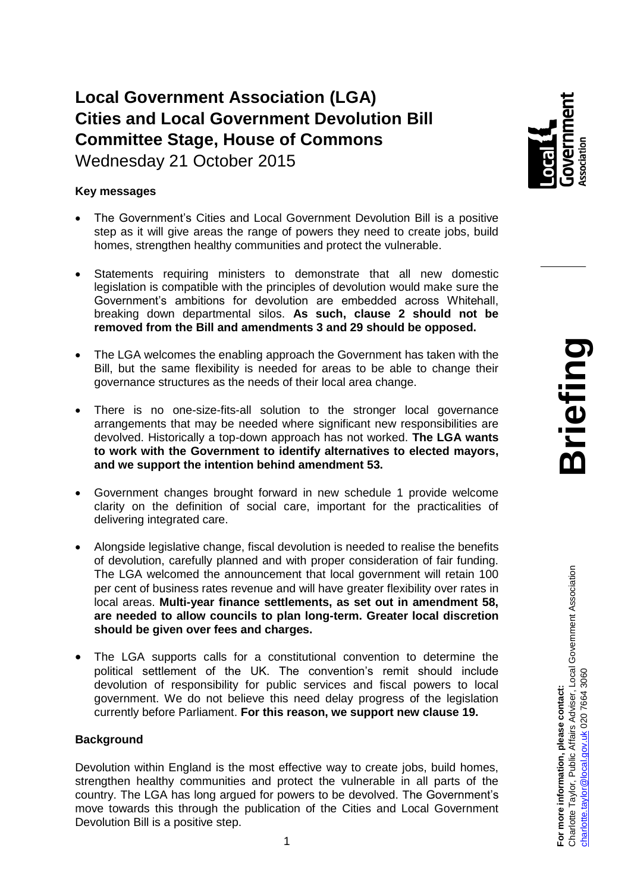# **Local Government Association (LGA) Cities and Local Government Devolution Bill Committee Stage, House of Commons**

Wednesday 21 October 2015

# **Key messages**

- The Government's Cities and Local Government Devolution Bill is a positive step as it will give areas the range of powers they need to create jobs, build homes, strengthen healthy communities and protect the vulnerable.
- Statements requiring ministers to demonstrate that all new domestic legislation is compatible with the principles of devolution would make sure the Government's ambitions for devolution are embedded across Whitehall, breaking down departmental silos. **As such, clause 2 should not be removed from the Bill and amendments 3 and 29 should be opposed.**
- The LGA welcomes the enabling approach the Government has taken with the Bill, but the same flexibility is needed for areas to be able to change their governance structures as the needs of their local area change.
- There is no one-size-fits-all solution to the stronger local governance arrangements that may be needed where significant new responsibilities are devolved. Historically a top-down approach has not worked. **The LGA wants to work with the Government to identify alternatives to elected mayors, and we support the intention behind amendment 53.**
- Government changes brought forward in new schedule 1 provide welcome clarity on the definition of social care, important for the practicalities of delivering integrated care.
- Alongside legislative change, fiscal devolution is needed to realise the benefits of devolution, carefully planned and with proper consideration of fair funding. The LGA welcomed the announcement that local government will retain 100 per cent of business rates revenue and will have greater flexibility over rates in local areas. **Multi-year finance settlements, as set out in amendment 58, are needed to allow councils to plan long-term. Greater local discretion should be given over fees and charges.**
- The LGA supports calls for a constitutional convention to determine the political settlement of the UK. The convention's remit should include devolution of responsibility for public services and fiscal powers to local government. We do not believe this need delay progress of the legislation currently before Parliament. **For this reason, we support new clause 19.**

### **Background**

Devolution within England is the most effective way to create jobs, build homes, strengthen healthy communities and protect the vulnerable in all parts of the country. The LGA has long argued for powers to be devolved. The Government's move towards this through the publication of the Cities and Local Government Devolution Bill is a positive step.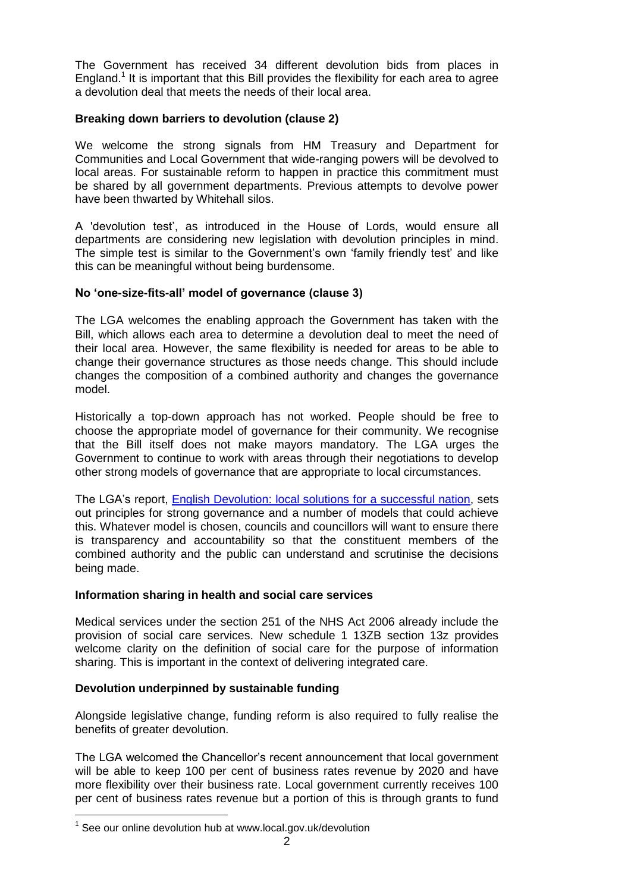The Government has received 34 different devolution bids from places in England.<sup>1</sup> It is important that this Bill provides the flexibility for each area to agree a devolution deal that meets the needs of their local area.

# **Breaking down barriers to devolution (clause 2)**

We welcome the strong signals from HM Treasury and Department for Communities and Local Government that wide-ranging powers will be devolved to local areas. For sustainable reform to happen in practice this commitment must be shared by all government departments. Previous attempts to devolve power have been thwarted by Whitehall silos.

A 'devolution test', as introduced in the House of Lords, would ensure all departments are considering new legislation with devolution principles in mind. The simple test is similar to the Government's own 'family friendly test' and like this can be meaningful without being burdensome.

## **No 'one-size-fits-all' model of governance (clause 3)**

The LGA welcomes the enabling approach the Government has taken with the Bill, which allows each area to determine a devolution deal to meet the need of their local area. However, the same flexibility is needed for areas to be able to change their governance structures as those needs change. This should include changes the composition of a combined authority and changes the governance model.

Historically a top-down approach has not worked. People should be free to choose the appropriate model of governance for their community. We recognise that the Bill itself does not make mayors mandatory. The LGA urges the Government to continue to work with areas through their negotiations to develop other strong models of governance that are appropriate to local circumstances.

The LGA's report, [English Devolution: local solutions for a successful nation,](http://www.local.gov.uk/documents/10180/6917361/L15-178+DevoNext+devolution+publication/7e036308-6ebc-4f20-8d26-d6e2cd7f6eb2) sets out principles for strong governance and a number of models that could achieve this. Whatever model is chosen, councils and councillors will want to ensure there is transparency and accountability so that the constituent members of the combined authority and the public can understand and scrutinise the decisions being made.

### **Information sharing in health and social care services**

Medical services under the section 251 of the NHS Act 2006 already include the provision of social care services. New schedule 1 13ZB section 13z provides welcome clarity on the definition of social care for the purpose of information sharing. This is important in the context of delivering integrated care.

### **Devolution underpinned by sustainable funding**

Alongside legislative change, funding reform is also required to fully realise the benefits of greater devolution.

The LGA welcomed the Chancellor's recent announcement that local government will be able to keep 100 per cent of business rates revenue by 2020 and have more flexibility over their business rate. Local government currently receives 100 per cent of business rates revenue but a portion of this is through grants to fund

 $1$  See our online devolution hub at www.local.gov.uk/devolution